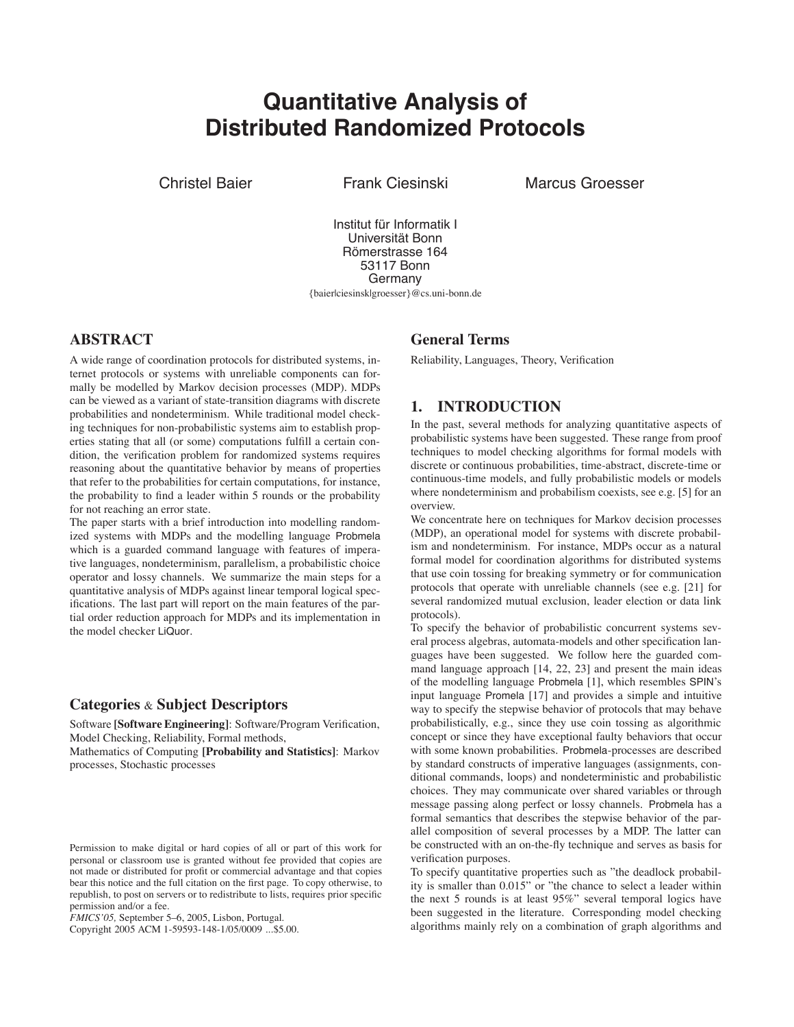# **Quantitative Analysis of Distributed Randomized Protocols**

Christel Baier Frank Ciesinski

Marcus Groesser

Institut für Informatik I Universität Bonn Römerstrasse 164 53117 Bonn Germany

{baier|ciesinsk|groesser}@cs.uni-bonn.de

#### **ABSTRACT**

A wide range of coordination protocols for distributed systems, internet protocols or systems with unreliable components can formally be modelled by Markov decision processes (MDP). MDPs can be viewed as a variant of state-transition diagrams with discrete probabilities and nondeterminism. While traditional model checking techniques for non-probabilistic systems aim to establish properties stating that all (or some) computations fulfill a certain condition, the verification problem for randomized systems requires reasoning about the quantitative behavior by means of properties that refer to the probabilities for certain computations, for instance, the probability to find a leader within 5 rounds or the probability for not reaching an error state.

The paper starts with a brief introduction into modelling randomized systems with MDPs and the modelling language Probmela which is a guarded command language with features of imperative languages, nondeterminism, parallelism, a probabilistic choice operator and lossy channels. We summarize the main steps for a quantitative analysis of MDPs against linear temporal logical specifications. The last part will report on the main features of the partial order reduction approach for MDPs and its implementation in the model checker LiQuor.

#### **Categories** & **Subject Descriptors**

Software **[Software Engineering]**: Software/Program Verification, Model Checking, Reliability, Formal methods,

Mathematics of Computing **[Probability and Statistics]**: Markov processes, Stochastic processes

Copyright 2005 ACM 1-59593-148-1/05/0009 ...\$5.00.

# **General Terms**

Reliability, Languages, Theory, Verification

# **1. INTRODUCTION**

In the past, several methods for analyzing quantitative aspects of probabilistic systems have been suggested. These range from proof techniques to model checking algorithms for formal models with discrete or continuous probabilities, time-abstract, discrete-time or continuous-time models, and fully probabilistic models or models where nondeterminism and probabilism coexists, see e.g. [5] for an overview.

We concentrate here on techniques for Markov decision processes (MDP), an operational model for systems with discrete probabilism and nondeterminism. For instance, MDPs occur as a natural formal model for coordination algorithms for distributed systems that use coin tossing for breaking symmetry or for communication protocols that operate with unreliable channels (see e.g. [21] for several randomized mutual exclusion, leader election or data link protocols).

To specify the behavior of probabilistic concurrent systems several process algebras, automata-models and other specification languages have been suggested. We follow here the guarded command language approach [14, 22, 23] and present the main ideas of the modelling language Probmela [1], which resembles SPIN's input language Promela [17] and provides a simple and intuitive way to specify the stepwise behavior of protocols that may behave probabilistically, e.g., since they use coin tossing as algorithmic concept or since they have exceptional faulty behaviors that occur with some known probabilities. Probmela-processes are described by standard constructs of imperative languages (assignments, conditional commands, loops) and nondeterministic and probabilistic choices. They may communicate over shared variables or through message passing along perfect or lossy channels. Probmela has a formal semantics that describes the stepwise behavior of the parallel composition of several processes by a MDP. The latter can be constructed with an on-the-fly technique and serves as basis for verification purposes.

To specify quantitative properties such as "the deadlock probability is smaller than 0.015" or "the chance to select a leader within the next 5 rounds is at least 95%" several temporal logics have been suggested in the literature. Corresponding model checking algorithms mainly rely on a combination of graph algorithms and

Permission to make digital or hard copies of all or part of this work for personal or classroom use is granted without fee provided that copies are not made or distributed for profit or commercial advantage and that copies bear this notice and the full citation on the first page. To copy otherwise, to republish, to post on servers or to redistribute to lists, requires prior specific permission and/or a fee.

*FMICS'05,* September 5–6, 2005, Lisbon, Portugal.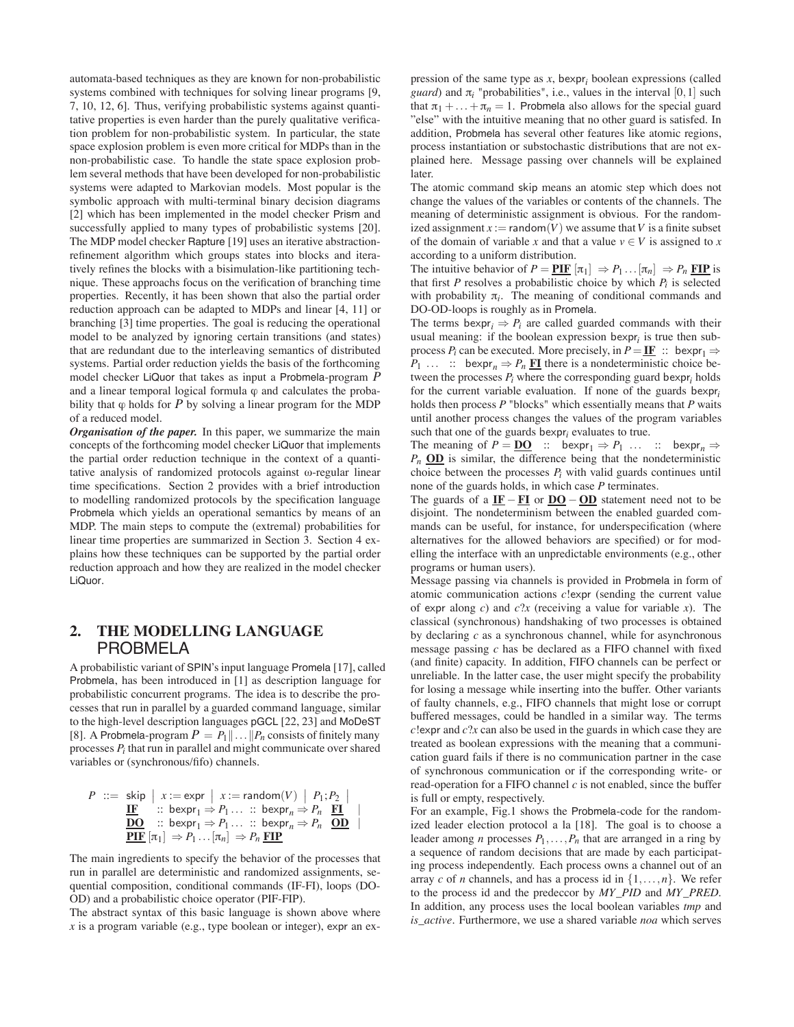automata-based techniques as they are known for non-probabilistic systems combined with techniques for solving linear programs [9, 7, 10, 12, 6]. Thus, verifying probabilistic systems against quantitative properties is even harder than the purely qualitative verification problem for non-probabilistic system. In particular, the state space explosion problem is even more critical for MDPs than in the non-probabilistic case. To handle the state space explosion problem several methods that have been developed for non-probabilistic systems were adapted to Markovian models. Most popular is the symbolic approach with multi-terminal binary decision diagrams [2] which has been implemented in the model checker Prism and successfully applied to many types of probabilistic systems [20]. The MDP model checker Rapture [19] uses an iterative abstractionrefinement algorithm which groups states into blocks and iteratively refines the blocks with a bisimulation-like partitioning technique. These approachs focus on the verification of branching time properties. Recently, it has been shown that also the partial order reduction approach can be adapted to MDPs and linear [4, 11] or branching [3] time properties. The goal is reducing the operational model to be analyzed by ignoring certain transitions (and states) that are redundant due to the interleaving semantics of distributed systems. Partial order reduction yields the basis of the forthcoming model checker LiQuor that takes as input a Probmela-program P and a linear temporal logical formula  $\varphi$  and calculates the probability that  $\varphi$  holds for P by solving a linear program for the MDP of a reduced model.

*Organisation of the paper.* In this paper, we summarize the main concepts of the forthcoming model checker LiQuor that implements the partial order reduction technique in the context of a quantitative analysis of randomized protocols against  $\omega$ -regular linear time specifications. Section 2 provides with a brief introduction to modelling randomized protocols by the specification language Probmela which yields an operational semantics by means of an MDP. The main steps to compute the (extremal) probabilities for linear time properties are summarized in Section 3. Section 4 explains how these techniques can be supported by the partial order reduction approach and how they are realized in the model checker LiQuor.

# **2. THE MODELLING LANGUAGE** PROBMELA

A probabilistic variant of SPIN'sinput language Promela [17], called Probmela, has been introduced in [1] as description language for probabilistic concurrent programs. The idea is to describe the processes that run in parallel by a guarded command language, similar to the high-level description languages pGCL [22, 23] and MoDeST [8]. A Probmela-program  $P = P_1 || \dots || P_n$  consists of finitely many processes *Pi* that run in parallel and might communicate over shared variables or (synchronous/fifo) channels.

$$
P ::= \textsf{skip} \mid x := \textsf{expr} \mid x := \textsf{random}(V) \mid P_1; P_2 \mid
$$
\n
$$
\underbrace{\mathbf{IF}}_{\mathbf{DO}} :: \textsf{bexpr}_1 \Rightarrow P_1 \dots :: \textsf{bexpr}_n \Rightarrow P_n \mid \mathbf{FI} \mid
$$
\n
$$
\underbrace{\mathbf{DO}}_{\mathbf{PIF}} :: \textsf{bexpr}_1 \Rightarrow P_1 \dots :: \textsf{bexpr}_n \Rightarrow P_n \mid \mathbf{OD} \mid
$$

The main ingredients to specify the behavior of the processes that run in parallel are deterministic and randomized assignments, sequential composition, conditional commands (IF-FI), loops (DO-OD) and a probabilistic choice operator (PIF-FIP).

The abstract syntax of this basic language is shown above where *x* is a program variable (e.g., type boolean or integer), expr an expression of the same type as *x*, bexpr*<sup>i</sup>* boolean expressions (called *guard*) and  $\pi$ <sup>*i*</sup> "probabilities", i.e., values in the interval [0, 1] such that  $\pi_1 + \ldots + \pi_n = 1$ . Probmela also allows for the special guard "else" with the intuitive meaning that no other guard is satisfed. In addition, Probmela has several other features like atomic regions, process instantiation or substochastic distributions that are not explained here. Message passing over channels will be explained later.

The atomic command skip means an atomic step which does not change the values of the variables or contents of the channels. The meaning of deterministic assignment is obvious. For the randomized assignment  $x :=$  random(*V*) we assume that *V* is a finite subset of the domain of variable *x* and that a value  $v \in V$  is assigned to *x* according to a uniform distribution.

The intuitive behavior of  $P = \underline{PIF} [\pi_1] \Rightarrow P_1 ... [\pi_n] \Rightarrow P_n \underline{FIP}$  is that first  $P$  resolves a probabilistic choice by which  $P_i$  is selected with probability  $\pi_i$ . The meaning of conditional commands and DO-OD-loops is roughly as in Promela.

The terms  $bexpr_i \Rightarrow P_i$  are called guarded commands with their usual meaning: if the boolean expression bexpr*<sup>i</sup>* is true then subprocess  $P_i$  can be executed. More precisely, in  $P = \mathbf{IF}$  :: bexpr<sub>1</sub>  $\Rightarrow$ *P*<sub>1</sub> ... :: bexpr<sub>n</sub>  $\Rightarrow$  *P*<sub>n</sub> **FI** there is a nondeterministic choice between the processes  $P_i$  where the corresponding guard bexpr<sub>i</sub> holds for the current variable evaluation. If none of the guards bexpr*<sup>i</sup>* holds then process *P* "blocks" which essentially means that *P* waits until another process changes the values of the program variables such that one of the guards bexpr*<sup>i</sup>* evaluates to true.

The meaning of  $P = \underline{DO}$  :: bexpr<sub>1</sub>  $\Rightarrow$   $P_1$  ... :: bexpr<sub>n</sub>  $\Rightarrow$  $P_n$  **OD** is similar, the difference being that the nondeterministic choice between the processes  $P_i$  with valid guards continues until none of the guards holds, in which case *P* terminates.

The guards of a  $I\bar{F} - F\bar{I}$  or  $DO - OD$  statement need not to be disjoint. The nondeterminism between the enabled guarded commands can be useful, for instance, for underspecification (where alternatives for the allowed behaviors are specified) or for modelling the interface with an unpredictable environments (e.g., other programs or human users).

Message passing via channels is provided in Probmela in form of atomic communication actions *c*!expr (sending the current value of expr along *c*) and *c*?*x* (receiving a value for variable *x*). The classical (synchronous) handshaking of two processes is obtained by declaring *c* as a synchronous channel, while for asynchronous message passing *c* has be declared as a FIFO channel with fixed (and finite) capacity. In addition, FIFO channels can be perfect or unreliable. In the latter case, the user might specify the probability for losing a message while inserting into the buffer. Other variants of faulty channels, e.g., FIFO channels that might lose or corrupt buffered messages, could be handled in a similar way. The terms *c*!expr and *c*?*x* can also be used in the guards in which case they are treated as boolean expressions with the meaning that a communication guard fails if there is no communication partner in the case of synchronous communication or if the corresponding write- or read-operation for a FIFO channel *c* is not enabled, since the buffer is full or empty, respectively.

For an example, Fig.1 shows the Probmela-code for the randomized leader election protocol a la [18]. The goal is to choose a leader among *n* processes  $P_1$ ,...,  $P_n$  that are arranged in a ring by a sequence of random decisions that are made by each participating process independently. Each process owns a channel out of an array *c* of *n* channels, and has a process id in  $\{1, \ldots, n\}$ . We refer to the process id and the predeccor by *MY*\_*PID* and *MY*\_*PRED*. In addition, any process uses the local boolean variables *tmp* and *is\_active*. Furthermore, we use a shared variable *noa* which serves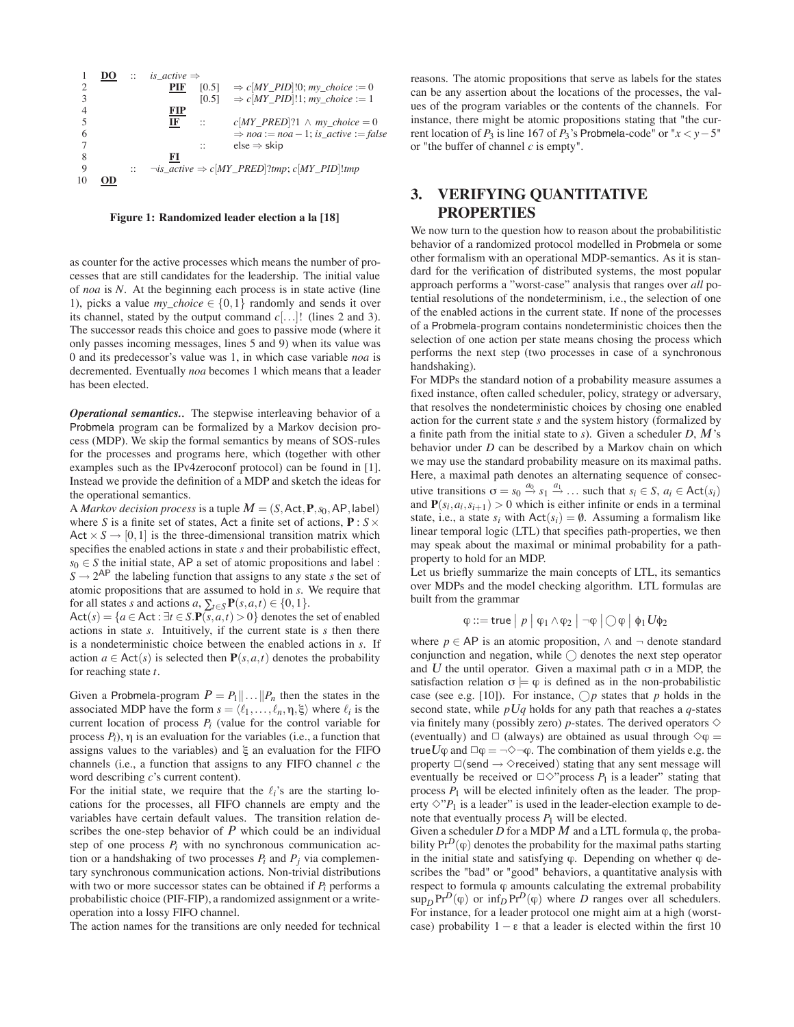

**Figure 1: Randomized leader election a la [18]**

as counter for the active processes which means the number of processes that are still candidates for the leadership. The initial value of *noa* is *N*. At the beginning each process is in state active (line 1), picks a value  $my\_choice \in \{0,1\}$  randomly and sends it over its channel, stated by the output command *c*[...]! (lines 2 and 3). The successor reads this choice and goes to passive mode (where it only passes incoming messages, lines 5 and 9) when its value was 0 and its predecessor's value was 1, in which case variable *noa* is decremented. Eventually *noa* becomes 1 which means that a leader has been elected.

*Operational semantics..* The stepwise interleaving behavior of a Probmela program can be formalized by a Markov decision process (MDP). We skip the formal semantics by means of SOS-rules for the processes and programs here, which (together with other examples such as the IPv4zeroconf protocol) can be found in [1]. Instead we provide the definition of a MDP and sketch the ideas for the operational semantics.

A *Markov decision process* is a tuple  $M = (S, \text{Act}, P, s_0, \text{AP}, \text{label})$ where *S* is a finite set of states, Act a finite set of actions,  $P : S \times$ Act  $\times S \rightarrow [0,1]$  is the three-dimensional transition matrix which specifies the enabled actions in state *s* and their probabilistic effect,  $s_0 \in S$  the initial state, AP a set of atomic propositions and label :  $S \rightarrow 2^{AP}$  the labeling function that assigns to any state *s* the set of atomic propositions that are assumed to hold in *s*. We require that for all states *s* and actions *a*,  $\sum_{t \in S} \mathbf{P}(s, a, t) \in \{0, 1\}.$ 

Act(*s*) = {*a* ∈ Act : ∃*t* ∈ *S*.**P**( $\overline{s}$ ,*a*,*t*) > 0} denotes the set of enabled actions in state *s*. Intuitively, if the current state is *s* then there is a nondeterministic choice between the enabled actions in *s*. If action  $a \in \text{Act}(s)$  is selected then  $P(s, a, t)$  denotes the probability for reaching state *t*.

Given a Probmela-program  $P = P_1 || \dots || P_n$  then the states in the associated MDP have the form  $s = \langle \ell_1, \ldots, \ell_n, \eta, \xi \rangle$  where  $\ell_i$  is the current location of process  $P_i$  (value for the control variable for process  $P_i$ ),  $\eta$  is an evaluation for the variables (i.e., a function that assigns values to the variables) and  $\xi$  an evaluation for the FIFO channels (i.e., a function that assigns to any FIFO channel *c* the word describing *c*'s current content).

For the initial state, we require that the  $\ell_i$ 's are the starting locations for the processes, all FIFO channels are empty and the variables have certain default values. The transition relation describes the one-step behavior of  $P$  which could be an individual step of one process  $P_i$  with no synchronous communication action or a handshaking of two processes  $P_i$  and  $P_j$  via complementary synchronous communication actions. Non-trivial distributions with two or more successor states can be obtained if *Pi* performs a probabilistic choice (PIF-FIP), a randomized assignment or a writeoperation into a lossy FIFO channel.

The action names for the transitions are only needed for technical

reasons. The atomic propositions that serve as labels for the states can be any assertion about the locations of the processes, the values of the program variables or the contents of the channels. For instance, there might be atomic propositions stating that "the current location of  $P_3$  is line 167 of  $P_3$ 's Probmela-code" or "*x* < *y* − 5" or "the buffer of channel *c* is empty".

### **3. VERIFYING QUANTITATIVE PROPERTIES**

We now turn to the question how to reason about the probabilitistic behavior of a randomized protocol modelled in Probmela or some other formalism with an operational MDP-semantics. As it is standard for the verification of distributed systems, the most popular approach performs a "worst-case" analysis that ranges over *all* potential resolutions of the nondeterminism, i.e., the selection of one of the enabled actions in the current state. If none of the processes of a Probmela-program contains nondeterministic choices then the selection of one action per state means chosing the process which performs the next step (two processes in case of a synchronous handshaking).

For MDPs the standard notion of a probability measure assumes a fixed instance, often called scheduler, policy, strategy or adversary, that resolves the nondeterministic choices by chosing one enabled action for the current state *s* and the system history (formalized by a finite path from the initial state to *s*). Given a scheduler *D*, M 's behavior under *D* can be described by a Markov chain on which we may use the standard probability measure on its maximal paths. Here, a maximal path denotes an alternating sequence of consecutive transitions  $\sigma = s_0 \stackrel{a_0}{\rightarrow} s_1 \stackrel{a_1}{\rightarrow} \dots$  such that  $s_i \in S$ ,  $a_i \in \text{Act}(s_i)$ and  $P(s_i, a_i, s_{i+1}) > 0$  which is either infinite or ends in a terminal state, i.e., a state  $s_i$  with  $Act(s_i) = \emptyset$ . Assuming a formalism like linear temporal logic (LTL) that specifies path-properties, we then may speak about the maximal or minimal probability for a pathproperty to hold for an MDP.

Let us briefly summarize the main concepts of LTL, its semantics over MDPs and the model checking algorithm. LTL formulas are built from the grammar

$$
\phi ::= \mathsf{true} \mid p \mid \phi_1 \land \phi_2 \mid \neg \phi \mid \bigcirc \phi \mid \phi_1 \, U \phi_2
$$

where  $p \in AP$  is an atomic proposition,  $\land$  and  $\neg$  denote standard conjunction and negation, while  $\bigcirc$  denotes the next step operator and  $U$  the until operator. Given a maximal path  $\sigma$  in a MDP, the satisfaction relation  $\sigma \models \varphi$  is defined as in the non-probabilistic case (see e.g. [10]). For instance,  $\bigcirc p$  states that *p* holds in the second state, while  $pUq$  holds for any path that reaches a  $q$ -states via finitely many (possibly zero) *p*-states. The derived operators  $\diamond$ (eventually) and  $\Box$  (always) are obtained as usual through  $\diamond \phi =$ true  $U\varphi$  and  $\Box \varphi = \neg \Diamond \neg \varphi$ . The combination of them yields e.g. the property  $\square$ (send  $\rightarrow \lozenge$  received) stating that any sent message will eventually be received or  $\square \diamond$ "process  $P_1$  is a leader" stating that process  $P_1$  will be elected infinitely often as the leader. The property  $\Diamond "P_1$  is a leader" is used in the leader-election example to denote that eventually process  $P_1$  will be elected.

Given a scheduler *D* for a MDP  $M$  and a LTL formula  $\varphi$ , the probability  $Pr^D(\varphi)$  denotes the probability for the maximal paths starting in the initial state and satisfying  $\varphi$ . Depending on whether  $\varphi$  describes the "bad" or "good" behaviors, a quantitative analysis with respect to formula  $\varphi$  amounts calculating the extremal probability  $\sup_D \Pr^D(\varphi)$  or  $\inf_D \Pr^D(\varphi)$  where *D* ranges over all schedulers. For instance, for a leader protocol one might aim at a high (worstcase) probability  $1 - \varepsilon$  that a leader is elected within the first 10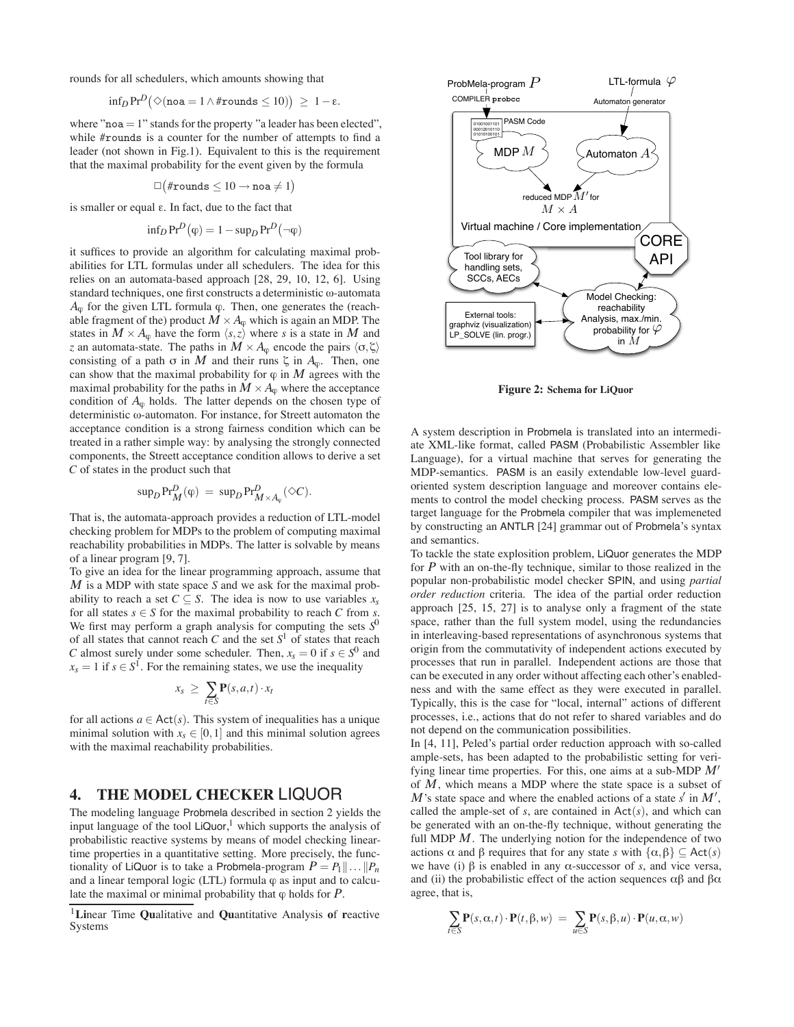rounds for all schedulers, which amounts showing that

$$
\inf_D \Pr^D\big(\diamondsuit(n \mathtt{o} \mathtt{a} = 1 \wedge \text{\#rounds} \leq 10)\big) \, \geq \, 1 - \epsilon.
$$

where " $noa = 1$ " stands for the property "a leader has been elected", while #rounds is a counter for the number of attempts to find a leader (not shown in Fig.1). Equivalent to this is the requirement that the maximal probability for the event given by the formula

$$
\Box \big(\text{\#rounds} \leq 10 \to \texttt{noa} \neq 1\big)
$$

is smaller or equal  $\varepsilon$ . In fact, due to the fact that

$$
\inf_D \Pr^D(\phi) = 1 - \sup_D \Pr^D(\neg \phi)
$$

it suffices to provide an algorithm for calculating maximal probabilities for LTL formulas under all schedulers. The idea for this relies on an automata-based approach [28, 29, 10, 12, 6]. Using standard techniques, one first constructs a deterministic  $\omega$ -automata  $A_{\varphi}$  for the given LTL formula  $\varphi$ . Then, one generates the (reachable fragment of the) product  $M \times A_{\varphi}$  which is again an MDP. The states in  $M \times A_{\varphi}$  have the form  $\langle s, z \rangle$  where *s* is a state in M and *z* an automata-state. The paths in  $M \times A_{\varphi}$  encode the pairs  $\langle \sigma, \zeta \rangle$ consisting of a path  $\sigma$  in M and their runs  $\zeta$  in  $A_{\varphi}$ . Then, one can show that the maximal probability for  $\varphi$  in  $M$  agrees with the maximal probability for the paths in  $M \times A_{\varphi}$  where the acceptance condition of  $A_{\varphi}$  holds. The latter depends on the chosen type of deterministic  $\omega$ -automaton. For instance, for Streett automaton the acceptance condition is a strong fairness condition which can be treated in a rather simple way: by analysing the strongly connected components, the Streett acceptance condition allows to derive a set *C* of states in the product such that

$$
\operatorname{sup}_D \operatorname{Pr}^D_M(\varphi) \ = \ \operatorname{sup}_D \operatorname{Pr}^D_{M \times A_{\varphi}}(\diamondsuit C).
$$

That is, the automata-approach provides a reduction of LTL-model checking problem for MDPs to the problem of computing maximal reachability probabilities in MDPs. The latter is solvable by means of a linear program [9, 7].

To give an idea for the linear programming approach, assume that M is a MDP with state space *S* and we ask for the maximal probability to reach a set  $C \subseteq S$ . The idea is now to use variables  $x_s$ for all states  $s \in S$  for the maximal probability to reach C from *s*. We first may perform a graph analysis for computing the sets  $S^0$ of all states that cannot reach  $C$  and the set  $S^1$  of states that reach *C* almost surely under some scheduler. Then,  $x_s = 0$  if  $s \in S^0$  and  $x_s = 1$  if  $s \in S^1$ . For the remaining states, we use the inequality

$$
x_s \geq \sum_{t \in S} \mathbf{P}(s, a, t) \cdot x_t
$$

for all actions  $a \in \text{Act}(s)$ . This system of inequalities has a unique minimal solution with  $x_s \in [0,1]$  and this minimal solution agrees with the maximal reachability probabilities.

#### **4. THE MODEL CHECKER** LIQUOR

The modeling language Probmela described in section 2 yields the input language of the tool LiQuor, <sup>1</sup> which supports the analysis of probabilistic reactive systems by means of model checking lineartime properties in a quantitative setting. More precisely, the functionality of LiQuor is to take a Probmela-program  $P = P_1 || \dots || P_n$ and a linear temporal logic (LTL) formula  $\varphi$  as input and to calculate the maximal or minimal probability that  $\varphi$  holds for  $P$ .





**Figure 2: Schema for LiQuor**

A system description in Probmela is translated into an intermediate XML-like format, called PASM (Probabilistic Assembler like Language), for a virtual machine that serves for generating the MDP-semantics. PASM is an easily extendable low-level guardoriented system description language and moreover contains elements to control the model checking process. PASM serves as the target language for the Probmela compiler that was implemeneted by constructing an ANTLR [24] grammar out of Probmela's syntax and semantics.

To tackle the state explosition problem, LiQuor generates the MDP for  $P$  with an on-the-fly technique, similar to those realized in the popular non-probabilistic model checker SPIN, and using *partial order reduction* criteria. The idea of the partial order reduction approach [25, 15, 27] is to analyse only a fragment of the state space, rather than the full system model, using the redundancies in interleaving-based representations of asynchronous systems that origin from the commutativity of independent actions executed by processes that run in parallel. Independent actions are those that can be executed in any order without affecting each other's enabledness and with the same effect as they were executed in parallel. Typically, this is the case for "local, internal" actions of different processes, i.e., actions that do not refer to shared variables and do not depend on the communication possibilities.

In [4, 11], Peled's partial order reduction approach with so-called ample-sets, has been adapted to the probabilistic setting for verifying linear time properties. For this, one aims at a sub-MDP  $M'$ of  $M$ , which means a MDP where the state space is a subset of  $M$ 's state space and where the enabled actions of a state  $s'$  in  $M'$ , called the ample-set of  $s$ , are contained in  $Act(s)$ , and which can be generated with an on-the-fly technique, without generating the full MDP  $M$ . The underlying notion for the independence of two actions  $\alpha$  and  $\beta$  requires that for any state *s* with  $\{\alpha, \beta\} \subset \text{Act}(s)$ we have (i)  $\beta$  is enabled in any  $\alpha$ -successor of *s*, and vice versa, and (ii) the probabilistic effect of the action sequences  $\alpha\beta$  and  $\beta\alpha$ . agree, that is,

$$
\sum_{t \in S} \mathbf{P}(s, \alpha, t) \cdot \mathbf{P}(t, \beta, w) = \sum_{u \in S} \mathbf{P}(s, \beta, u) \cdot \mathbf{P}(u, \alpha, w)
$$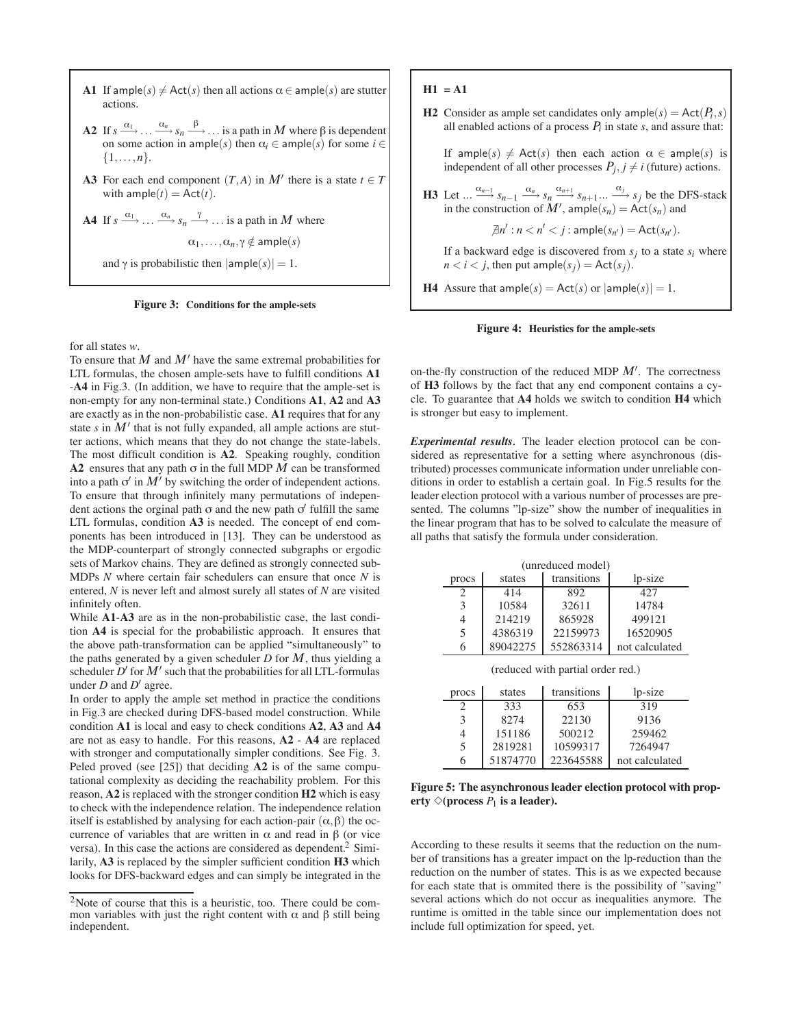- **A1** If ample(*s*)  $\neq$  Act(*s*) then all actions  $\alpha \in \text{ample}(s)$  are stutter actions.
- **A2** If  $s \xrightarrow{\alpha_1} \ldots \xrightarrow{\alpha_n} s_n \xrightarrow{\beta} \ldots$  is a path in M where  $\beta$  is dependent on some action in ample(*s*) then  $\alpha_i \in \text{ample}(s)$  for some  $i \in$ {1,...,*n*}.
- **A3** For each end component  $(T, A)$  in M' there is a state  $t \in T$ with  $\text{ample}(t) = \text{Act}(t)$ .
- **A4** If  $s \xrightarrow{\alpha_1} \ldots \xrightarrow{\alpha_n} s_n \xrightarrow{\gamma} \ldots$  is a path in M where

 $\alpha_1,\ldots,\alpha_n,\gamma \notin \text{ample}(s)$ 

and  $\gamma$  is probabilistic then  $|\text{ample}(s)| = 1$ .

**Figure 3: Conditions for the ample-sets**

for all states *w*.

To ensure that  $M$  and  $M'$  have the same extremal probabilities for LTL formulas, the chosen ample-sets have to fulfill conditions **A1** -**A4** in Fig.3. (In addition, we have to require that the ample-set is non-empty for any non-terminal state.) Conditions **A1**, **A2** and **A3** are exactly as in the non-probabilistic case. **A1** requires that for any state  $s$  in  $M'$  that is not fully expanded, all ample actions are stutter actions, which means that they do not change the state-labels. The most difficult condition is **A2**. Speaking roughly, condition A2 ensures that any path  $\sigma$  in the full MDP  $M$  can be transformed into a path  $\sigma'$  in  $M'$  by switching the order of independent actions. To ensure that through infinitely many permutations of independent actions the orginal path  $\sigma$  and the new path  $\sigma'$  fulfill the same LTL formulas, condition **A3** is needed. The concept of end components has been introduced in [13]. They can be understood as the MDP-counterpart of strongly connected subgraphs or ergodic sets of Markov chains. They are defined as strongly connected sub-MDPs *N* where certain fair schedulers can ensure that once *N* is entered, *N* is never left and almost surely all states of *N* are visited infinitely often.

While **A1**-**A3** are as in the non-probabilistic case, the last condition **A4** is special for the probabilistic approach. It ensures that the above path-transformation can be applied "simultaneously" to the paths generated by a given scheduler  $D$  for  $M$ , thus yielding a scheduler  $D'$  for  $M'$  such that the probabilities for all LTL-formulas under  $D$  and  $D'$  agree.

In order to apply the ample set method in practice the conditions in Fig.3 are checked during DFS-based model construction. While condition **A1** is local and easy to check conditions **A2**, **A3** and **A4** are not as easy to handle. For this reasons, **A2** - **A4** are replaced with stronger and computationally simpler conditions. See Fig. 3. Peled proved (see [25]) that deciding **A2** is of the same computational complexity as deciding the reachability problem. For this reason, **A2** is replaced with the stronger condition **H2** which is easy to check with the independence relation. The independence relation itself is established by analysing for each action-pair  $(\alpha,\beta)$  the occurrence of variables that are written in  $\alpha$  and read in  $\beta$  (or vice versa). In this case the actions are considered as dependent.<sup>2</sup> Similarily, **A3** is replaced by the simpler sufficient condition **H3** which looks for DFS-backward edges and can simply be integrated in the

#### $H1 = A1$

**H2** Consider as ample set candidates only  $\text{ample}(s) = \text{Act}(P_i, s)$ all enabled actions of a process  $P_i$  in state  $s$ , and assure that:

If ample(s)  $\neq$  Act(s) then each action  $\alpha \in \text{ample}(s)$  is independent of all other processes  $P_i$ ,  $j \neq i$  (future) actions.

**H3** Let ...  $\frac{\alpha_{n-1}}{\cdots} s_{n-1} \xrightarrow{\alpha_n} s_n \xrightarrow{\alpha_{n+1}} s_{n+1} \cdots \xrightarrow{\alpha_j} s_j$  be the DFS-stack in the construction of  $M'$ , ample( $s_n$ ) = Act( $s_n$ ) and  $\exists n': n < n' < j: \text{ample}(s_{n'}) = \text{Act}(s_{n'}).$ 

If a backward edge is discovered from  $s_i$  to a state  $s_i$  where  $n < i < j$ , then put ample( $s<sub>j</sub>$ ) = Act( $s<sub>j</sub>$ ).

**H4** Assure that  $\text{ample}(s) = \text{Act}(s)$  or  $|\text{ample}(s)| = 1$ .



on-the-fly construction of the reduced MDP  $M'$ . The correctness of **H3** follows by the fact that any end component contains a cycle. To guarantee that **A4** holds we switch to condition **H4** which is stronger but easy to implement.

*Experimental results.* The leader election protocol can be considered as representative for a setting where asynchronous (distributed) processes communicate information under unreliable conditions in order to establish a certain goal. In Fig.5 results for the leader election protocol with a various number of processes are presented. The columns "lp-size" show the number of inequalities in the linear program that has to be solved to calculate the measure of all paths that satisfy the formula under consideration.

| (unreduced model) |          |             |                |
|-------------------|----------|-------------|----------------|
| procs             | states   | transitions | lp-size        |
|                   | 414      | 892         | 427            |
| 3                 | 10584    | 32611       | 14784          |
|                   | 214219   | 865928      | 499121         |
| 5                 | 4386319  | 22159973    | 16520905       |
| 6                 | 89042275 | 552863314   | not calculated |

(reduced with partial order red.) procs states transitions lp-size 2 333 653 319  $\begin{array}{c|c|c|c|c} 3 & 8274 & 22130 & 9136 \\ 4 & 151186 & 500212 & 259462 \end{array}$ 4 151186 500212 259462<br>5 2819281 10599317 7264947 10599317

**Figure 5: The asynchronous leader election protocol with property**  $\Diamond$ (**process**  $P_1$  **is a leader**).

6 51874770 223645588 not calculated

According to these results it seems that the reduction on the number of transitions has a greater impact on the lp-reduction than the reduction on the number of states. This is as we expected because for each state that is ommited there is the possibility of "saving" several actions which do not occur as inequalities anymore. The runtime is omitted in the table since our implementation does not include full optimization for speed, yet.

<sup>2</sup>Note of course that this is a heuristic, too. There could be common variables with just the right content with  $\alpha$  and  $\beta$  still being independent.